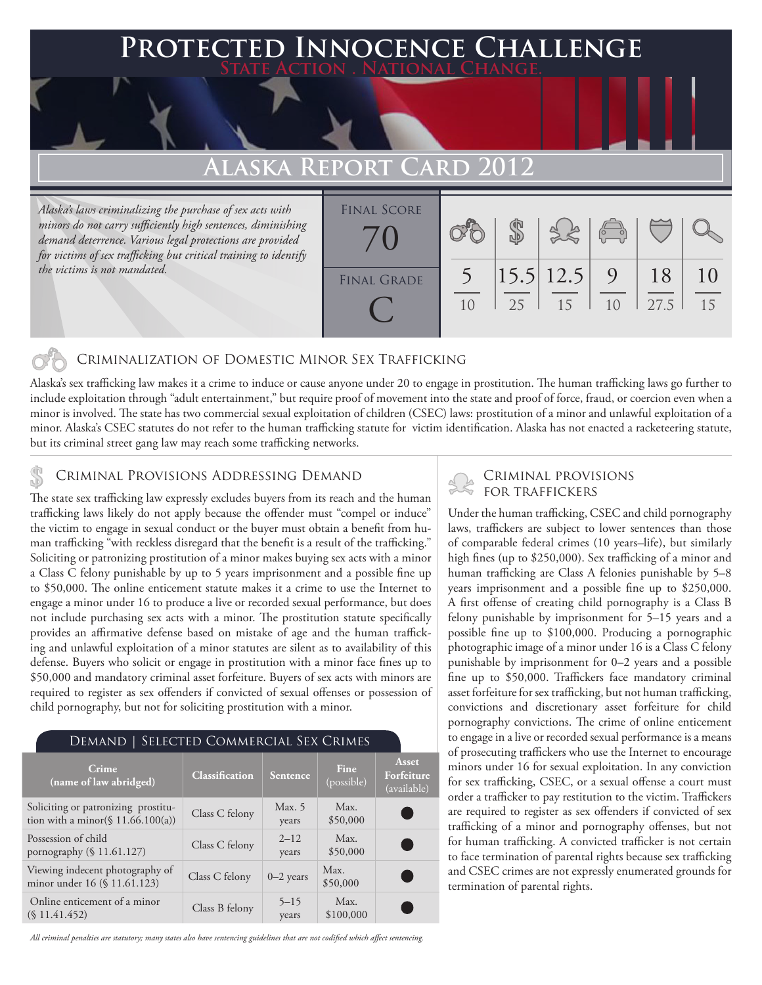## **FED INNOCENCE CHALLENGE State Action . National Change.**

# **Alaska Report Card 2012**

*Alaska's laws criminalizing the purchase of sex acts with minors do not carry sufficiently high sentences, diminishing demand deterrence. Various legal protections are provided for victims of sex trafficking but critical training to identify the victims is not mandated.* 

| <b>FINAL SCORE</b> |    |    |                                  | $\sqrt{\frac{1}{10}}$ |            |    |
|--------------------|----|----|----------------------------------|-----------------------|------------|----|
| <b>FINAL GRADE</b> | 10 | 25 | $\left  15.5 \right  12.5$<br>15 | 9<br>10               | 18<br>27.5 | 15 |

### Criminalization of Domestic Minor Sex Trafficking

Alaska's sex trafficking law makes it a crime to induce or cause anyone under 20 to engage in prostitution. The human trafficking laws go further to include exploitation through "adult entertainment," but require proof of movement into the state and proof of force, fraud, or coercion even when a minor is involved. The state has two commercial sexual exploitation of children (CSEC) laws: prostitution of a minor and unlawful exploitation of a minor. Alaska's CSEC statutes do not refer to the human trafficking statute for victim identification. Alaska has not enacted a racketeering statute, but its criminal street gang law may reach some trafficking networks.

# CRIMINAL PROVISIONS ADDRESSING DEMAND<br>The state our trafficking law averagely avaludes buyers from its reach and the buman FOR TRAFFICKERS

The state sex trafficking law expressly excludes buyers from its reach and the human trafficking laws likely do not apply because the offender must "compel or induce" the victim to engage in sexual conduct or the buyer must obtain a benefit from human trafficking "with reckless disregard that the benefit is a result of the trafficking." Soliciting or patronizing prostitution of a minor makes buying sex acts with a minor a Class C felony punishable by up to 5 years imprisonment and a possible fine up to \$50,000. The online enticement statute makes it a crime to use the Internet to engage a minor under 16 to produce a live or recorded sexual performance, but does not include purchasing sex acts with a minor. The prostitution statute specifically provides an affirmative defense based on mistake of age and the human trafficking and unlawful exploitation of a minor statutes are silent as to availability of this defense. Buyers who solicit or engage in prostitution with a minor face fines up to \$50,000 and mandatory criminal asset forfeiture. Buyers of sex acts with minors are required to register as sex offenders if convicted of sexual offenses or possession of child pornography, but not for soliciting prostitution with a minor.

| DEMAND   SELECTED COMMERCIAL SEX CRIMES                                     |                       |                   |                    |                                    |  |  |  |  |
|-----------------------------------------------------------------------------|-----------------------|-------------------|--------------------|------------------------------------|--|--|--|--|
| Crime<br>(name of law abridged)                                             | <b>Classification</b> | <b>Sentence</b>   | Fine<br>(possible) | Asset<br>Forfeiture<br>(available) |  |  |  |  |
| Soliciting or patronizing prostitu-<br>tion with a minor( $$11.66.100(a)$ ) | Class C felony        | Max. 5<br>years   | Max.<br>\$50,000   |                                    |  |  |  |  |
| Possession of child<br>pornography (§ 11.61.127)                            | Class C felony        | $2 - 12$<br>years | Max.<br>\$50,000   |                                    |  |  |  |  |
| Viewing indecent photography of<br>minor under 16 (§ 11.61.123)             | Class C felony        | $0-2$ years       | Max.<br>\$50,000   |                                    |  |  |  |  |
| Online enticement of a minor<br>(S 11.41.452)                               | Class B felony        | $5 - 15$<br>years | Max.<br>\$100,000  |                                    |  |  |  |  |

#### *All criminal penalties are statutory; many states also have sentencing guidelines that are not codified which affect sentencing.*

Under the human trafficking, CSEC and child pornography laws, traffickers are subject to lower sentences than those of comparable federal crimes (10 years–life), but similarly high fines (up to \$250,000). Sex trafficking of a minor and human trafficking are Class A felonies punishable by 5–8 years imprisonment and a possible fine up to \$250,000. A first offense of creating child pornography is a Class B felony punishable by imprisonment for 5–15 years and a possible fine up to \$100,000. Producing a pornographic photographic image of a minor under 16 is a Class C felony punishable by imprisonment for 0–2 years and a possible fine up to \$50,000. Traffickers face mandatory criminal asset forfeiture for sex trafficking, but not human trafficking, convictions and discretionary asset forfeiture for child pornography convictions. The crime of online enticement to engage in a live or recorded sexual performance is a means of prosecuting traffickers who use the Internet to encourage minors under 16 for sexual exploitation. In any conviction for sex trafficking, CSEC, or a sexual offense a court must order a trafficker to pay restitution to the victim. Traffickers are required to register as sex offenders if convicted of sex trafficking of a minor and pornography offenses, but not for human trafficking. A convicted trafficker is not certain to face termination of parental rights because sex trafficking and CSEC crimes are not expressly enumerated grounds for termination of parental rights.